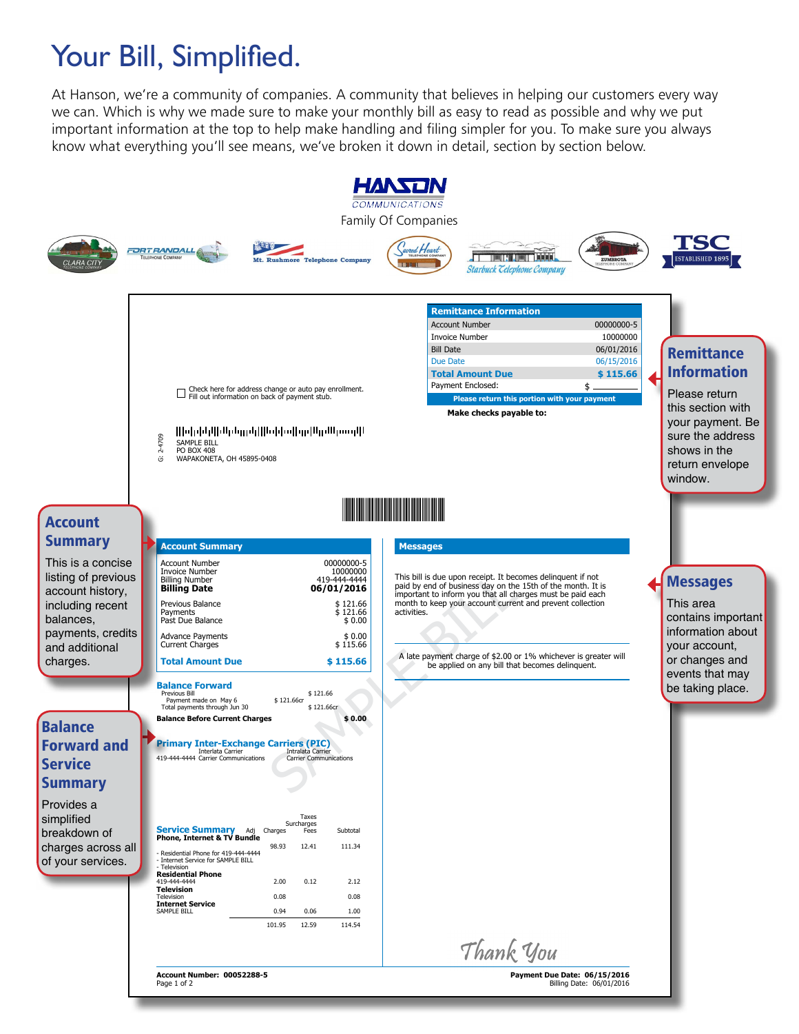## Your Bill, Simplified.

At Hanson, we're a community of companies. A community that believes in helping our customers every way we can. Which is why we made sure to make your monthly bill as easy to read as possible and why we put important information at the top to help make handling and filing simpler for you. To make sure you always know what everything you'll see means, we've broken it down in detail, section by section below.